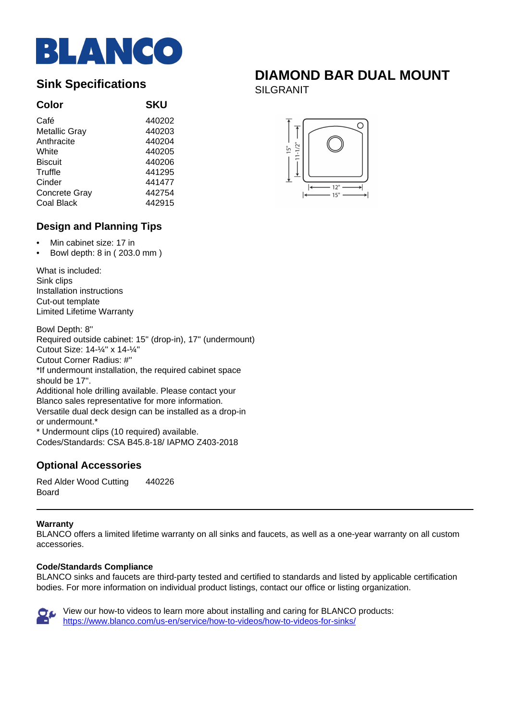

## **Color SKU**

| Café                 | 440202 |
|----------------------|--------|
| <b>Metallic Gray</b> | 440203 |
| Anthracite           | 440204 |
| White                | 440205 |
| <b>Biscuit</b>       | 440206 |
| Truffle              | 441295 |
| Cinder               | 441477 |
| Concrete Gray        | 442754 |
| Coal Black           | 442915 |
|                      |        |

# **Design and Planning Tips**

- Min cabinet size: 17 in
- Bowl depth: 8 in ( 203.0 mm )

What is included: Sink clips Installation instructions Cut-out template Limited Lifetime Warranty

Bowl Depth: 8'' Required outside cabinet: 15'' (drop-in), 17'' (undermount) Cutout Size: 14-¼'' x 14-¼'' Cutout Corner Radius: #'' \*If undermount installation, the required cabinet space should be 17''. Additional hole drilling available. Please contact your Blanco sales representative for more information. Versatile dual deck design can be installed as a drop-in or undermount.\* \* Undermount clips (10 required) available.

Codes/Standards: CSA B45.8-18/ IAPMO Z403-2018

# **Optional Accessories**

Red Alder Wood Cutting Board 440226

### **Warranty**

BLANCO offers a limited lifetime warranty on all sinks and faucets, as well as a one-year warranty on all custom accessories.

#### **Code/Standards Compliance**

BLANCO sinks and faucets are third-party tested and certified to standards and listed by applicable certification bodies. For more information on individual product listings, contact our office or listing organization.



View our how-to videos to learn more about installing and caring for BLANCO products: <https://www.blanco.com/us-en/service/how-to-videos/how-to-videos-for-sinks/>

# **Sink Specifications**<br> **SILCBANUT**

SILGRANIT